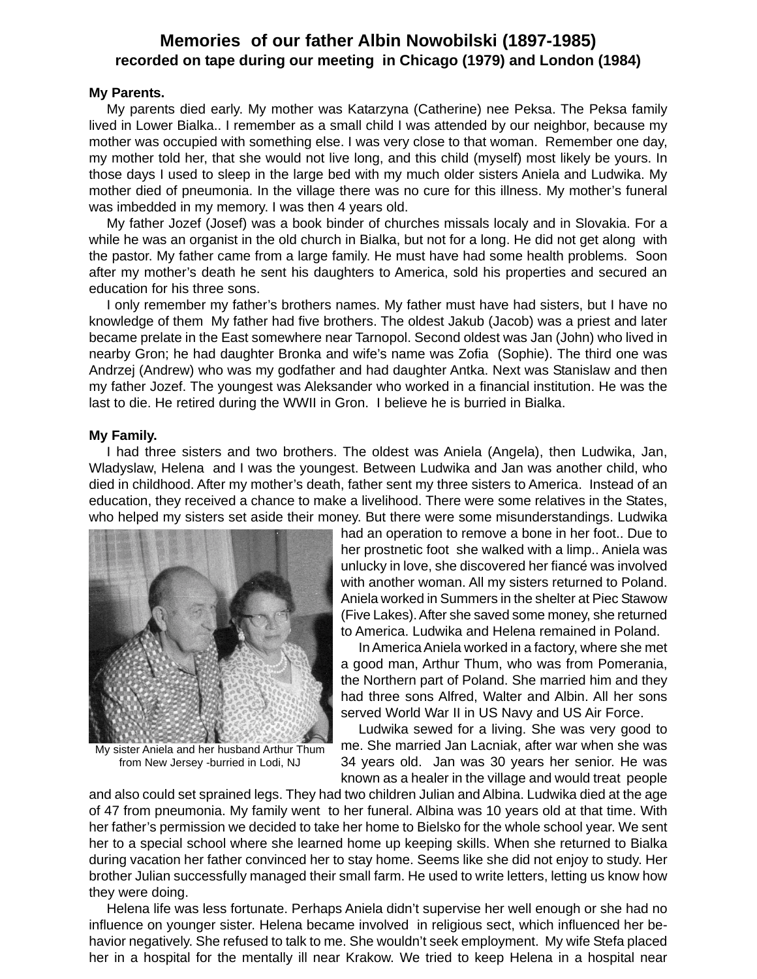# **Memories of our father Albin Nowobilski (1897-1985) recorded on tape during our meeting in Chicago (1979) and London (1984)**

#### **My Parents.**

My parents died early. My mother was Katarzyna (Catherine) nee Peksa. The Peksa family lived in Lower Bialka.. I remember as a small child I was attended by our neighbor, because my mother was occupied with something else. I was very close to that woman. Remember one day, my mother told her, that she would not live long, and this child (myself) most likely be yours. In those days I used to sleep in the large bed with my much older sisters Aniela and Ludwika. My mother died of pneumonia. In the village there was no cure for this illness. My mother's funeral was imbedded in my memory. I was then 4 years old.

My father Jozef (Josef) was a book binder of churches missals localy and in Slovakia. For a while he was an organist in the old church in Bialka, but not for a long. He did not get along with the pastor. My father came from a large family. He must have had some health problems. Soon after my mother's death he sent his daughters to America, sold his properties and secured an education for his three sons.

I only remember my father's brothers names. My father must have had sisters, but I have no knowledge of them My father had five brothers. The oldest Jakub (Jacob) was a priest and later became prelate in the East somewhere near Tarnopol. Second oldest was Jan (John) who lived in nearby Gron; he had daughter Bronka and wife's name was Zofia (Sophie). The third one was Andrzej (Andrew) who was my godfather and had daughter Antka. Next was Stanislaw and then my father Jozef. The youngest was Aleksander who worked in a financial institution. He was the last to die. He retired during the WWII in Gron. I believe he is burried in Bialka.

#### **My Family.**

I had three sisters and two brothers. The oldest was Aniela (Angela), then Ludwika, Jan, Wladyslaw, Helena and I was the youngest. Between Ludwika and Jan was another child, who died in childhood. After my mother's death, father sent my three sisters to America. Instead of an education, they received a chance to make a livelihood. There were some relatives in the States, who helped my sisters set aside their money. But there were some misunderstandings. Ludwika



My sister Aniela and her husband Arthur Thum from New Jersey -burried in Lodi, NJ

had an operation to remove a bone in her foot.. Due to her prostnetic foot she walked with a limp.. Aniela was unlucky in love, she discovered her fiancé was involved with another woman. All my sisters returned to Poland. Aniela worked in Summers in the shelter at Piec Stawow (Five Lakes). After she saved some money, she returned to America. Ludwika and Helena remained in Poland.

In America Aniela worked in a factory, where she met a good man, Arthur Thum, who was from Pomerania, the Northern part of Poland. She married him and they had three sons Alfred, Walter and Albin. All her sons served World War II in US Navy and US Air Force.

Ludwika sewed for a living. She was very good to me. She married Jan Lacniak, after war when she was 34 years old. Jan was 30 years her senior. He was known as a healer in the village and would treat people

and also could set sprained legs. They had two children Julian and Albina. Ludwika died at the age of 47 from pneumonia. My family went to her funeral. Albina was 10 years old at that time. With her father's permission we decided to take her home to Bielsko for the whole school year. We sent her to a special school where she learned home up keeping skills. When she returned to Bialka during vacation her father convinced her to stay home. Seems like she did not enjoy to study. Her brother Julian successfully managed their small farm. He used to write letters, letting us know how they were doing.

Helena life was less fortunate. Perhaps Aniela didn't supervise her well enough or she had no influence on younger sister. Helena became involved in religious sect, which influenced her behavior negatively. She refused to talk to me. She wouldn't seek employment. My wife Stefa placed her in a hospital for the mentally ill near Krakow. We tried to keep Helena in a hospital near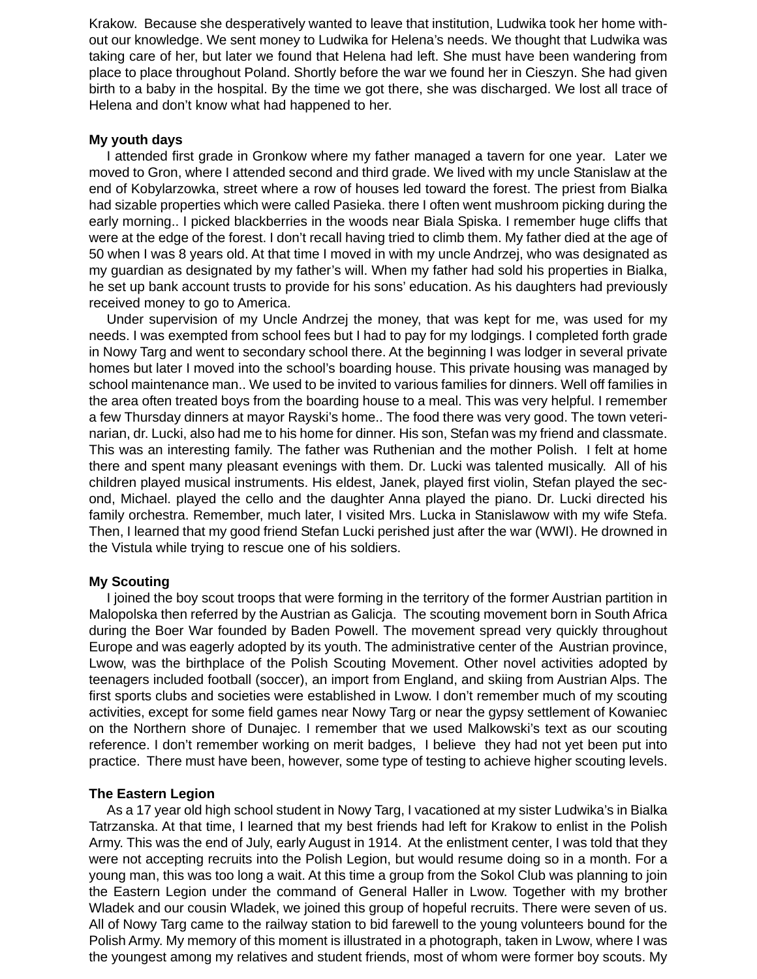Krakow. Because she desperatively wanted to leave that institution, Ludwika took her home without our knowledge. We sent money to Ludwika for Helena's needs. We thought that Ludwika was taking care of her, but later we found that Helena had left. She must have been wandering from place to place throughout Poland. Shortly before the war we found her in Cieszyn. She had given birth to a baby in the hospital. By the time we got there, she was discharged. We lost all trace of Helena and don't know what had happened to her.

# **My youth days**

I attended first grade in Gronkow where my father managed a tavern for one year. Later we moved to Gron, where I attended second and third grade. We lived with my uncle Stanislaw at the end of Kobylarzowka, street where a row of houses led toward the forest. The priest from Bialka had sizable properties which were called Pasieka. there I often went mushroom picking during the early morning.. I picked blackberries in the woods near Biala Spiska. I remember huge cliffs that were at the edge of the forest. I don't recall having tried to climb them. My father died at the age of 50 when I was 8 years old. At that time I moved in with my uncle Andrzej, who was designated as my guardian as designated by my father's will. When my father had sold his properties in Bialka, he set up bank account trusts to provide for his sons' education. As his daughters had previously received money to go to America.

Under supervision of my Uncle Andrzej the money, that was kept for me, was used for my needs. I was exempted from school fees but I had to pay for my lodgings. I completed forth grade in Nowy Targ and went to secondary school there. At the beginning I was lodger in several private homes but later I moved into the school's boarding house. This private housing was managed by school maintenance man.. We used to be invited to various families for dinners. Well off families in the area often treated boys from the boarding house to a meal. This was very helpful. I remember a few Thursday dinners at mayor Rayski's home.. The food there was very good. The town veterinarian, dr. Lucki, also had me to his home for dinner. His son, Stefan was my friend and classmate. This was an interesting family. The father was Ruthenian and the mother Polish. I felt at home there and spent many pleasant evenings with them. Dr. Lucki was talented musically. All of his children played musical instruments. His eldest, Janek, played first violin, Stefan played the second, Michael. played the cello and the daughter Anna played the piano. Dr. Lucki directed his family orchestra. Remember, much later, I visited Mrs. Lucka in Stanislawow with my wife Stefa. Then, I learned that my good friend Stefan Lucki perished just after the war (WWI). He drowned in the Vistula while trying to rescue one of his soldiers.

# **My Scouting**

I joined the boy scout troops that were forming in the territory of the former Austrian partition in Malopolska then referred by the Austrian as Galicja. The scouting movement born in South Africa during the Boer War founded by Baden Powell. The movement spread very quickly throughout Europe and was eagerly adopted by its youth. The administrative center of the Austrian province, Lwow, was the birthplace of the Polish Scouting Movement. Other novel activities adopted by teenagers included football (soccer), an import from England, and skiing from Austrian Alps. The first sports clubs and societies were established in Lwow. I don't remember much of my scouting activities, except for some field games near Nowy Targ or near the gypsy settlement of Kowaniec on the Northern shore of Dunajec. I remember that we used Malkowski's text as our scouting reference. I don't remember working on merit badges, I believe they had not yet been put into practice. There must have been, however, some type of testing to achieve higher scouting levels.

# **The Eastern Legion**

As a 17 year old high school student in Nowy Targ, I vacationed at my sister Ludwika's in Bialka Tatrzanska. At that time, I learned that my best friends had left for Krakow to enlist in the Polish Army. This was the end of July, early August in 1914. At the enlistment center, I was told that they were not accepting recruits into the Polish Legion, but would resume doing so in a month. For a young man, this was too long a wait. At this time a group from the Sokol Club was planning to join the Eastern Legion under the command of General Haller in Lwow. Together with my brother Wladek and our cousin Wladek, we joined this group of hopeful recruits. There were seven of us. All of Nowy Targ came to the railway station to bid farewell to the young volunteers bound for the Polish Army. My memory of this moment is illustrated in a photograph, taken in Lwow, where I was the youngest among my relatives and student friends, most of whom were former boy scouts. My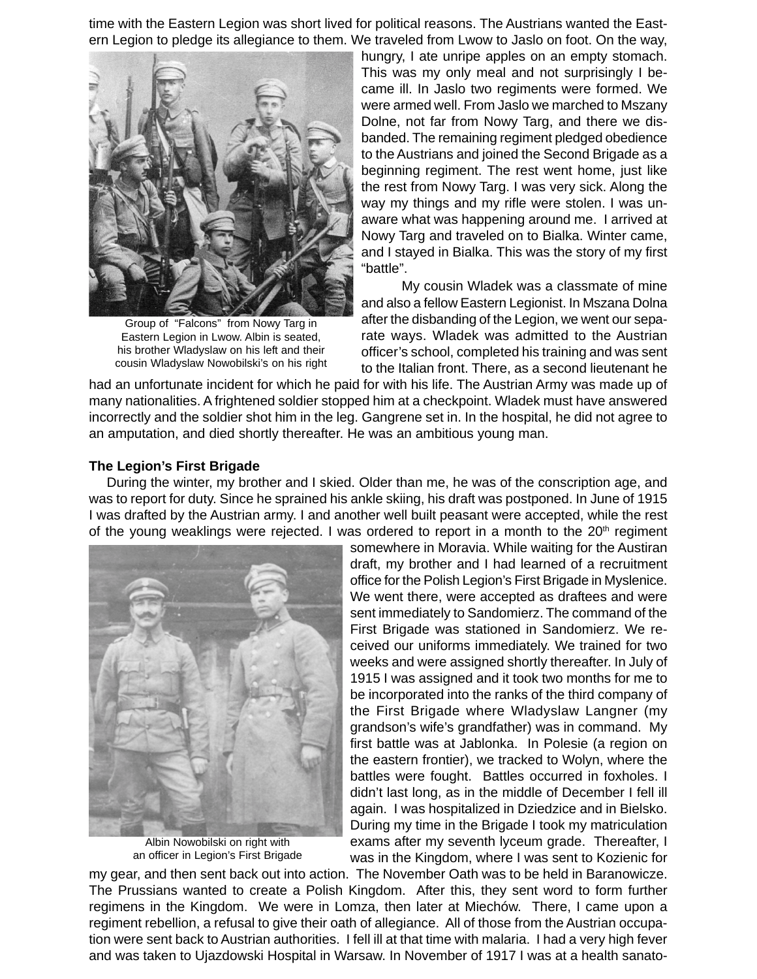time with the Eastern Legion was short lived for political reasons. The Austrians wanted the Eastern Legion to pledge its allegiance to them. We traveled from Lwow to Jaslo on foot. On the way,



Group of "Falcons" from Nowy Targ in Eastern Legion in Lwow. Albin is seated, his brother Wladyslaw on his left and their cousin Wladyslaw Nowobilski's on his right

hungry, I ate unripe apples on an empty stomach. This was my only meal and not surprisingly I became ill. In Jaslo two regiments were formed. We were armed well. From Jaslo we marched to Mszany Dolne, not far from Nowy Targ, and there we disbanded. The remaining regiment pledged obedience to the Austrians and joined the Second Brigade as a beginning regiment. The rest went home, just like the rest from Nowy Targ. I was very sick. Along the way my things and my rifle were stolen. I was unaware what was happening around me. I arrived at Nowy Targ and traveled on to Bialka. Winter came, and I stayed in Bialka. This was the story of my first "battle".

My cousin Wladek was a classmate of mine and also a fellow Eastern Legionist. In Mszana Dolna after the disbanding of the Legion, we went our separate ways. Wladek was admitted to the Austrian officer's school, completed his training and was sent to the Italian front. There, as a second lieutenant he

had an unfortunate incident for which he paid for with his life. The Austrian Army was made up of many nationalities. A frightened soldier stopped him at a checkpoint. Wladek must have answered incorrectly and the soldier shot him in the leg. Gangrene set in. In the hospital, he did not agree to an amputation, and died shortly thereafter. He was an ambitious young man.

#### **The Legion's First Brigade**

During the winter, my brother and I skied. Older than me, he was of the conscription age, and was to report for duty. Since he sprained his ankle skiing, his draft was postponed. In June of 1915 I was drafted by the Austrian army. I and another well built peasant were accepted, while the rest of the young weaklings were rejected. I was ordered to report in a month to the  $20<sup>th</sup>$  regiment



Albin Nowobilski on right with an officer in Legion's First Brigade

somewhere in Moravia. While waiting for the Austiran draft, my brother and I had learned of a recruitment office for the Polish Legion's First Brigade in Myslenice. We went there, were accepted as draftees and were sent immediately to Sandomierz. The command of the First Brigade was stationed in Sandomierz. We received our uniforms immediately. We trained for two weeks and were assigned shortly thereafter. In July of 1915 I was assigned and it took two months for me to be incorporated into the ranks of the third company of the First Brigade where Wladyslaw Langner (my grandson's wife's grandfather) was in command. My first battle was at Jablonka. In Polesie (a region on the eastern frontier), we tracked to Wolyn, where the battles were fought. Battles occurred in foxholes. I didn't last long, as in the middle of December I fell ill again. I was hospitalized in Dziedzice and in Bielsko. During my time in the Brigade I took my matriculation exams after my seventh lyceum grade. Thereafter, I was in the Kingdom, where I was sent to Kozienic for

my gear, and then sent back out into action. The November Oath was to be held in Baranowicze. The Prussians wanted to create a Polish Kingdom. After this, they sent word to form further regimens in the Kingdom. We were in Lomza, then later at Miechów. There, I came upon a regiment rebellion, a refusal to give their oath of allegiance. All of those from the Austrian occupation were sent back to Austrian authorities. I fell ill at that time with malaria. I had a very high fever and was taken to Ujazdowski Hospital in Warsaw. In November of 1917 I was at a health sanato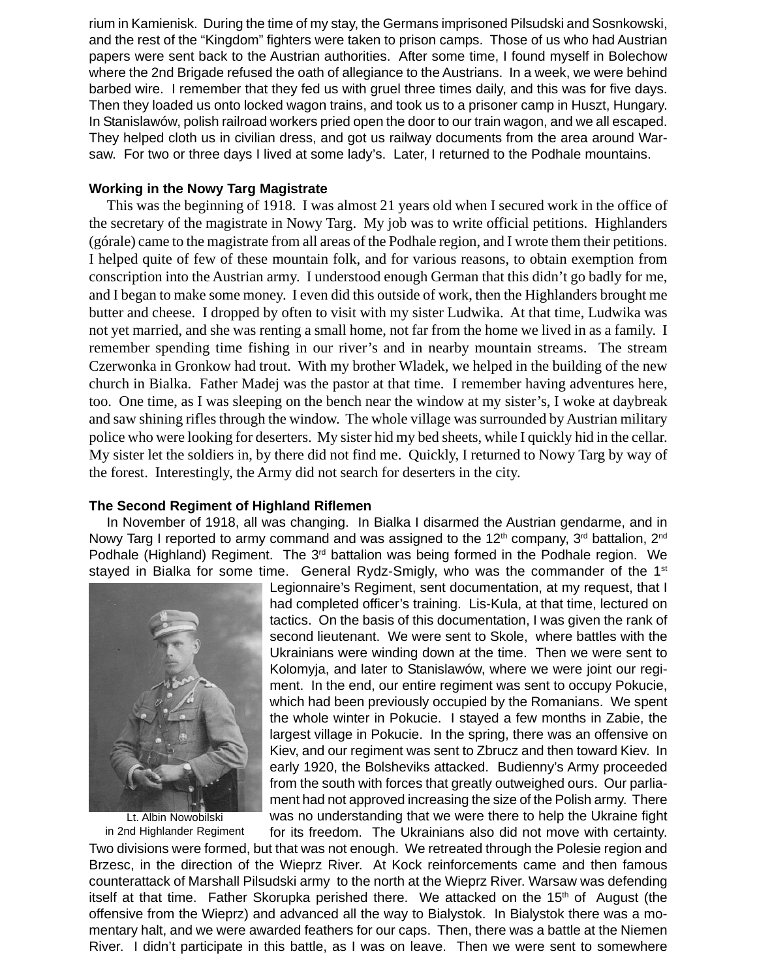rium in Kamienisk. During the time of my stay, the Germans imprisoned Pilsudski and Sosnkowski, and the rest of the "Kingdom" fighters were taken to prison camps. Those of us who had Austrian papers were sent back to the Austrian authorities. After some time, I found myself in Bolechow where the 2nd Brigade refused the oath of allegiance to the Austrians. In a week, we were behind barbed wire. I remember that they fed us with gruel three times daily, and this was for five days. Then they loaded us onto locked wagon trains, and took us to a prisoner camp in Huszt, Hungary. In Stanislawów, polish railroad workers pried open the door to our train wagon, and we all escaped. They helped cloth us in civilian dress, and got us railway documents from the area around Warsaw. For two or three days I lived at some lady's. Later, I returned to the Podhale mountains.

# **Working in the Nowy Targ Magistrate**

This was the beginning of 1918. I was almost 21 years old when I secured work in the office of the secretary of the magistrate in Nowy Targ. My job was to write official petitions. Highlanders (górale) came to the magistrate from all areas of the Podhale region, and I wrote them their petitions. I helped quite of few of these mountain folk, and for various reasons, to obtain exemption from conscription into the Austrian army. I understood enough German that this didn't go badly for me, and I began to make some money. I even did this outside of work, then the Highlanders brought me butter and cheese. I dropped by often to visit with my sister Ludwika. At that time, Ludwika was not yet married, and she was renting a small home, not far from the home we lived in as a family. I remember spending time fishing in our river's and in nearby mountain streams. The stream Czerwonka in Gronkow had trout. With my brother Wladek, we helped in the building of the new church in Bialka. Father Madej was the pastor at that time. I remember having adventures here, too. One time, as I was sleeping on the bench near the window at my sister's, I woke at daybreak and saw shining rifles through the window. The whole village was surrounded by Austrian military police who were looking for deserters. My sister hid my bed sheets, while I quickly hid in the cellar. My sister let the soldiers in, by there did not find me. Quickly, I returned to Nowy Targ by way of the forest. Interestingly, the Army did not search for deserters in the city.

# **The Second Regiment of Highland Riflemen**

In November of 1918, all was changing. In Bialka I disarmed the Austrian gendarme, and in Nowy Targ I reported to army command and was assigned to the 12<sup>th</sup> company,  $3<sup>rd</sup>$  battalion,  $2<sup>nd</sup>$ Podhale (Highland) Regiment. The 3<sup>rd</sup> battalion was being formed in the Podhale region. We stayed in Bialka for some time. General Rydz-Smigly, who was the commander of the 1<sup>st</sup>



Lt. Albin Nowobilski in 2nd Highlander Regiment Legionnaire's Regiment, sent documentation, at my request, that I had completed officer's training. Lis-Kula, at that time, lectured on tactics. On the basis of this documentation, I was given the rank of second lieutenant. We were sent to Skole, where battles with the Ukrainians were winding down at the time. Then we were sent to Kolomvia, and later to Stanislawów, where we were joint our regiment. In the end, our entire regiment was sent to occupy Pokucie, which had been previously occupied by the Romanians. We spent the whole winter in Pokucie. I stayed a few months in Zabie, the largest village in Pokucie. In the spring, there was an offensive on Kiev, and our regiment was sent to Zbrucz and then toward Kiev. In early 1920, the Bolsheviks attacked. Budienny's Army proceeded from the south with forces that greatly outweighed ours. Our parliament had not approved increasing the size of the Polish army. There was no understanding that we were there to help the Ukraine fight for its freedom. The Ukrainians also did not move with certainty.

Two divisions were formed, but that was not enough. We retreated through the Polesie region and Brzesc, in the direction of the Wieprz River. At Kock reinforcements came and then famous counterattack of Marshall Pilsudski army to the north at the Wieprz River. Warsaw was defending itself at that time. Father Skorupka perished there. We attacked on the  $15<sup>th</sup>$  of August (the offensive from the Wieprz) and advanced all the way to Bialystok. In Bialystok there was a momentary halt, and we were awarded feathers for our caps. Then, there was a battle at the Niemen River. I didn't participate in this battle, as I was on leave. Then we were sent to somewhere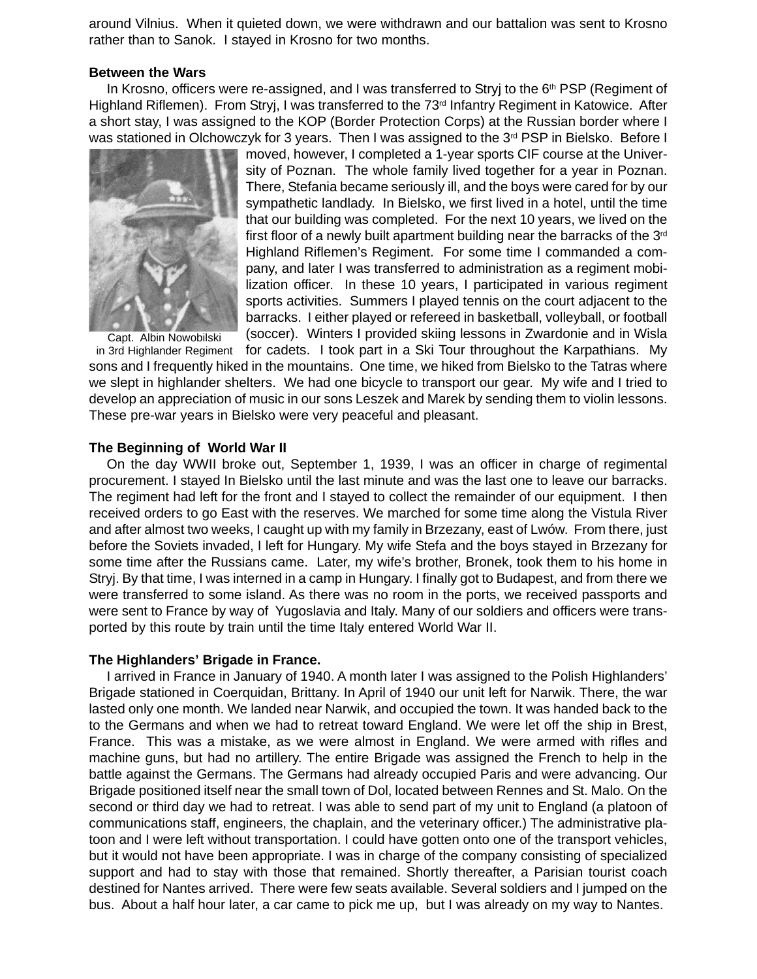around Vilnius. When it quieted down, we were withdrawn and our battalion was sent to Krosno rather than to Sanok. I stayed in Krosno for two months.

#### **Between the Wars**

In Krosno, officers were re-assigned, and I was transferred to Stryj to the  $6<sup>th</sup>$  PSP (Regiment of Highland Riflemen). From Stryj, I was transferred to the 73<sup>rd</sup> Infantry Regiment in Katowice. After a short stay, I was assigned to the KOP (Border Protection Corps) at the Russian border where I was stationed in Olchowczyk for 3 years. Then I was assigned to the  $3<sup>rd</sup>$  PSP in Bielsko. Before I



Capt. Albin Nowobilski

moved, however, I completed a 1-year sports CIF course at the University of Poznan. The whole family lived together for a year in Poznan. There, Stefania became seriously ill, and the boys were cared for by our sympathetic landlady. In Bielsko, we first lived in a hotel, until the time that our building was completed. For the next 10 years, we lived on the first floor of a newly built apartment building near the barracks of the 3<sup>rd</sup> Highland Riflemen's Regiment. For some time I commanded a company, and later I was transferred to administration as a regiment mobilization officer. In these 10 years, I participated in various regiment sports activities. Summers I played tennis on the court adjacent to the barracks. I either played or refereed in basketball, volleyball, or football (soccer). Winters I provided skiing lessons in Zwardonie and in Wisla

in 3rd Highlander Regiment for cadets. I took part in a Ski Tour throughout the Karpathians. My sons and I frequently hiked in the mountains. One time, we hiked from Bielsko to the Tatras where we slept in highlander shelters. We had one bicycle to transport our gear. My wife and I tried to develop an appreciation of music in our sons Leszek and Marek by sending them to violin lessons. These pre-war years in Bielsko were very peaceful and pleasant.

# **The Beginning of World War II**

On the day WWII broke out, September 1, 1939, I was an officer in charge of regimental procurement. I stayed In Bielsko until the last minute and was the last one to leave our barracks. The regiment had left for the front and I stayed to collect the remainder of our equipment. I then received orders to go East with the reserves. We marched for some time along the Vistula River and after almost two weeks, I caught up with my family in Brzezany, east of Lwów. From there, just before the Soviets invaded, I left for Hungary. My wife Stefa and the boys stayed in Brzezany for some time after the Russians came. Later, my wife's brother, Bronek, took them to his home in Stryj. By that time, I was interned in a camp in Hungary. I finally got to Budapest, and from there we were transferred to some island. As there was no room in the ports, we received passports and were sent to France by way of Yugoslavia and Italy. Many of our soldiers and officers were transported by this route by train until the time Italy entered World War II.

# **The Highlanders' Brigade in France.**

I arrived in France in January of 1940. A month later I was assigned to the Polish Highlanders' Brigade stationed in Coerquidan, Brittany. In April of 1940 our unit left for Narwik. There, the war lasted only one month. We landed near Narwik, and occupied the town. It was handed back to the to the Germans and when we had to retreat toward England. We were let off the ship in Brest, France. This was a mistake, as we were almost in England. We were armed with rifles and machine guns, but had no artillery. The entire Brigade was assigned the French to help in the battle against the Germans. The Germans had already occupied Paris and were advancing. Our Brigade positioned itself near the small town of Dol, located between Rennes and St. Malo. On the second or third day we had to retreat. I was able to send part of my unit to England (a platoon of communications staff, engineers, the chaplain, and the veterinary officer.) The administrative platoon and I were left without transportation. I could have gotten onto one of the transport vehicles, but it would not have been appropriate. I was in charge of the company consisting of specialized support and had to stay with those that remained. Shortly thereafter, a Parisian tourist coach destined for Nantes arrived. There were few seats available. Several soldiers and I jumped on the bus. About a half hour later, a car came to pick me up, but I was already on my way to Nantes.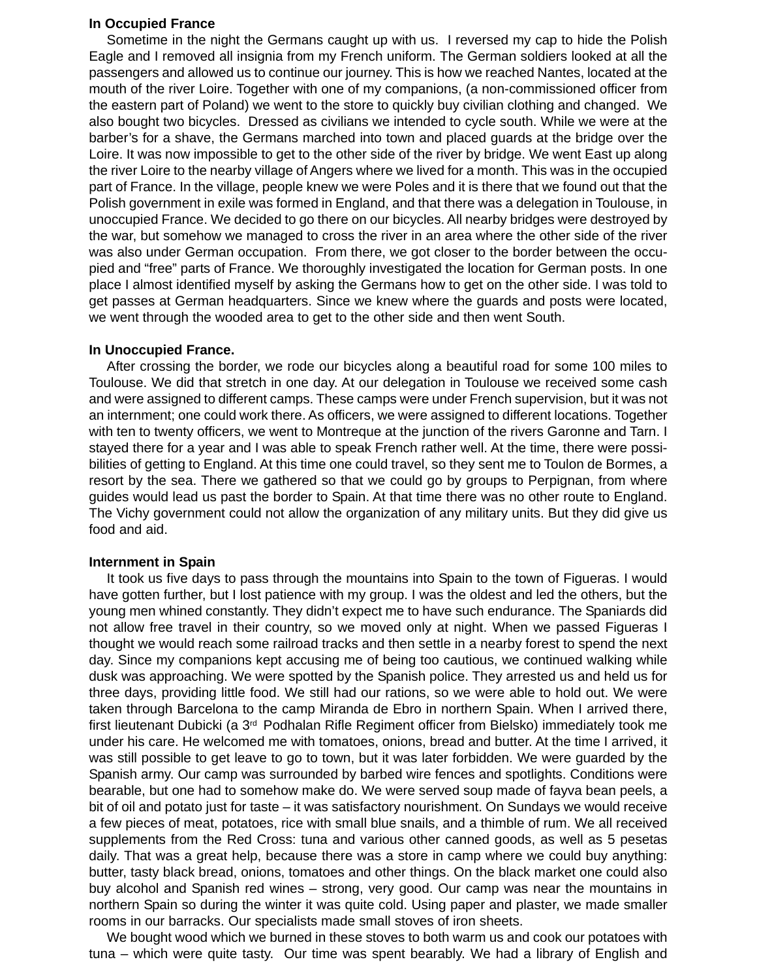#### **In Occupied France**

Sometime in the night the Germans caught up with us. I reversed my cap to hide the Polish Eagle and I removed all insignia from my French uniform. The German soldiers looked at all the passengers and allowed us to continue our journey. This is how we reached Nantes, located at the mouth of the river Loire. Together with one of my companions, (a non-commissioned officer from the eastern part of Poland) we went to the store to quickly buy civilian clothing and changed. We also bought two bicycles. Dressed as civilians we intended to cycle south. While we were at the barber's for a shave, the Germans marched into town and placed guards at the bridge over the Loire. It was now impossible to get to the other side of the river by bridge. We went East up along the river Loire to the nearby village of Angers where we lived for a month. This was in the occupied part of France. In the village, people knew we were Poles and it is there that we found out that the Polish government in exile was formed in England, and that there was a delegation in Toulouse, in unoccupied France. We decided to go there on our bicycles. All nearby bridges were destroyed by the war, but somehow we managed to cross the river in an area where the other side of the river was also under German occupation. From there, we got closer to the border between the occupied and "free" parts of France. We thoroughly investigated the location for German posts. In one place I almost identified myself by asking the Germans how to get on the other side. I was told to get passes at German headquarters. Since we knew where the guards and posts were located, we went through the wooded area to get to the other side and then went South.

# **In Unoccupied France.**

After crossing the border, we rode our bicycles along a beautiful road for some 100 miles to Toulouse. We did that stretch in one day. At our delegation in Toulouse we received some cash and were assigned to different camps. These camps were under French supervision, but it was not an internment; one could work there. As officers, we were assigned to different locations. Together with ten to twenty officers, we went to Montreque at the junction of the rivers Garonne and Tarn. I stayed there for a year and I was able to speak French rather well. At the time, there were possibilities of getting to England. At this time one could travel, so they sent me to Toulon de Bormes, a resort by the sea. There we gathered so that we could go by groups to Perpignan, from where guides would lead us past the border to Spain. At that time there was no other route to England. The Vichy government could not allow the organization of any military units. But they did give us food and aid.

# **Internment in Spain**

It took us five days to pass through the mountains into Spain to the town of Figueras. I would have gotten further, but I lost patience with my group. I was the oldest and led the others, but the young men whined constantly. They didn't expect me to have such endurance. The Spaniards did not allow free travel in their country, so we moved only at night. When we passed Figueras I thought we would reach some railroad tracks and then settle in a nearby forest to spend the next day. Since my companions kept accusing me of being too cautious, we continued walking while dusk was approaching. We were spotted by the Spanish police. They arrested us and held us for three days, providing little food. We still had our rations, so we were able to hold out. We were taken through Barcelona to the camp Miranda de Ebro in northern Spain. When I arrived there, first lieutenant Dubicki (a  $3<sup>rd</sup>$  Podhalan Rifle Regiment officer from Bielsko) immediately took me under his care. He welcomed me with tomatoes, onions, bread and butter. At the time I arrived, it was still possible to get leave to go to town, but it was later forbidden. We were guarded by the Spanish army. Our camp was surrounded by barbed wire fences and spotlights. Conditions were bearable, but one had to somehow make do. We were served soup made of fayva bean peels, a bit of oil and potato just for taste – it was satisfactory nourishment. On Sundays we would receive a few pieces of meat, potatoes, rice with small blue snails, and a thimble of rum. We all received supplements from the Red Cross: tuna and various other canned goods, as well as 5 pesetas daily. That was a great help, because there was a store in camp where we could buy anything: butter, tasty black bread, onions, tomatoes and other things. On the black market one could also buy alcohol and Spanish red wines – strong, very good. Our camp was near the mountains in northern Spain so during the winter it was quite cold. Using paper and plaster, we made smaller rooms in our barracks. Our specialists made small stoves of iron sheets.

We bought wood which we burned in these stoves to both warm us and cook our potatoes with tuna – which were quite tasty. Our time was spent bearably. We had a library of English and